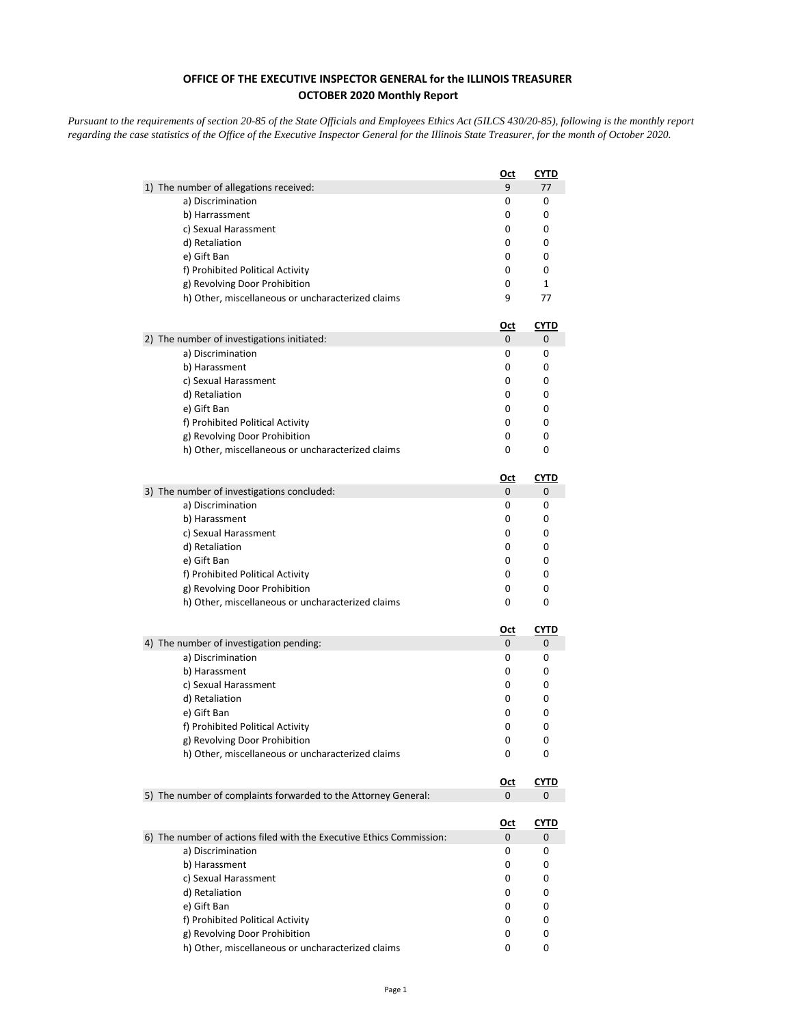## **OFFICE OF THE EXECUTIVE INSPECTOR GENERAL for the ILLINOIS TREASURER OCTOBER 2020 Monthly Report**

*Pursuant to the requirements of section 20-85 of the State Officials and Employees Ethics Act (5ILCS 430/20-85), following is the monthly report regarding the case statistics of the Office of the Executive Inspector General for the Illinois State Treasurer, for the month of October 2020.* 

|                                                                      | <u>Oct</u> | <b>CYTD</b> |
|----------------------------------------------------------------------|------------|-------------|
| 1) The number of allegations received:                               | 9          | 77          |
| a) Discrimination                                                    | 0          | 0           |
| b) Harrassment                                                       | 0          | 0           |
| c) Sexual Harassment                                                 | 0          | 0           |
| d) Retaliation                                                       | 0          | 0           |
| e) Gift Ban                                                          | 0          | 0           |
| f) Prohibited Political Activity                                     | 0          | 0           |
| g) Revolving Door Prohibition                                        | 0          | 1           |
| h) Other, miscellaneous or uncharacterized claims                    | 9          | 77          |
|                                                                      | <u>Oct</u> | <u>CYTD</u> |
| 2) The number of investigations initiated:                           | 0          | 0           |
| a) Discrimination                                                    | 0          | 0           |
| b) Harassment                                                        | 0          | 0           |
| c) Sexual Harassment                                                 | 0          | 0           |
| d) Retaliation                                                       | 0          | 0           |
| e) Gift Ban                                                          | 0          | 0           |
| f) Prohibited Political Activity                                     | 0          | 0           |
| g) Revolving Door Prohibition                                        | 0          | 0           |
| h) Other, miscellaneous or uncharacterized claims                    | 0          | 0           |
|                                                                      | <u>Oct</u> | CYTD        |
| 3) The number of investigations concluded:                           | 0          | 0           |
| a) Discrimination                                                    | 0          | 0           |
| b) Harassment                                                        | 0          | 0           |
| c) Sexual Harassment                                                 | 0          | 0           |
| d) Retaliation                                                       | 0          | 0           |
| e) Gift Ban                                                          | 0          | 0           |
| f) Prohibited Political Activity                                     | 0          | 0           |
| g) Revolving Door Prohibition                                        | 0          | 0           |
| h) Other, miscellaneous or uncharacterized claims                    | 0          | 0           |
|                                                                      | <u>Oct</u> | <u>CYTD</u> |
| 4) The number of investigation pending:                              | 0          | 0           |
| a) Discrimination                                                    | 0          | 0           |
| b) Harassment                                                        | 0          | 0           |
| c) Sexual Harassment                                                 | 0          | 0           |
| d) Retaliation                                                       | 0          | 0           |
| e) Gift Ban                                                          | 0          | 0           |
| f) Prohibited Political Activity                                     | 0          | 0           |
| g) Revolving Door Prohibition                                        | 0          | 0           |
| h) Other, miscellaneous or uncharacterized claims                    | 0          | 0           |
|                                                                      | <u>Oct</u> | <b>CYTD</b> |
| 5) The number of complaints forwarded to the Attorney General:       | 0          | 0           |
|                                                                      |            |             |
|                                                                      | <u>Oct</u> | <u>CYTD</u> |
| 6) The number of actions filed with the Executive Ethics Commission: | 0          | 0           |
| a) Discrimination                                                    | 0          | 0           |
| b) Harassment                                                        | 0          | 0           |
| c) Sexual Harassment                                                 | 0          | 0           |
| d) Retaliation                                                       | 0          | 0           |
| e) Gift Ban                                                          | 0          | 0           |
| f) Prohibited Political Activity                                     | 0          | 0           |
| g) Revolving Door Prohibition                                        | 0          | 0           |
| h) Other, miscellaneous or uncharacterized claims                    | 0          | 0           |